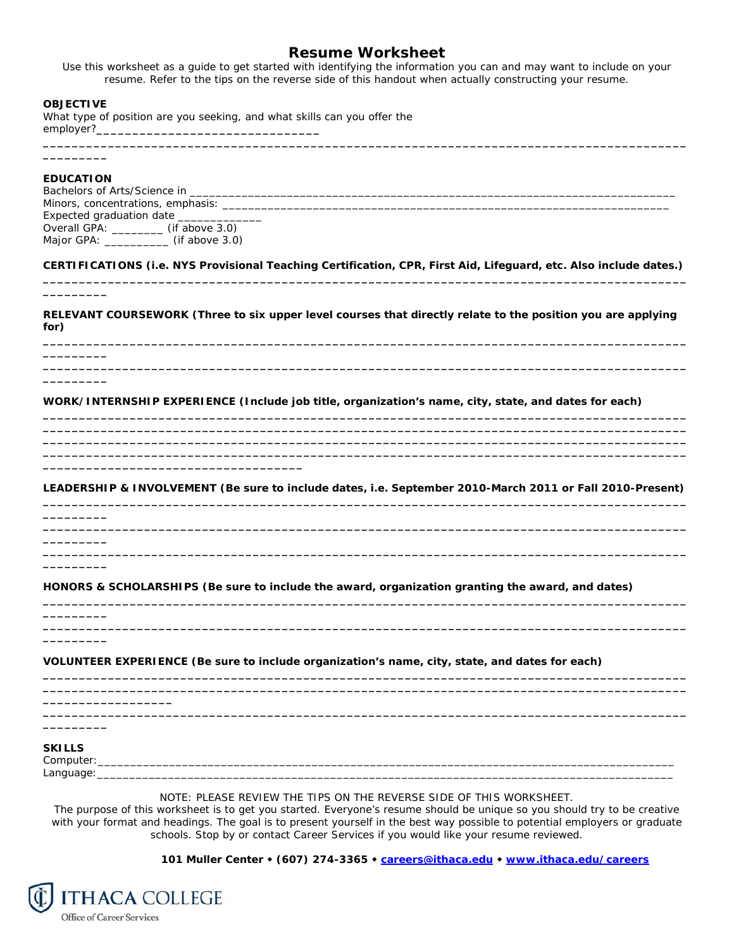## **Resume Worksheet**

*Use this worksheet as a guide to get started with identifying the information you can and may want to include on your resume. Refer to the tips on the reverse side of this handout when actually constructing your resume.* 

**\_\_\_\_\_\_\_\_\_\_\_\_\_\_\_\_\_\_\_\_\_\_\_\_\_\_\_\_\_\_\_\_\_\_\_\_\_\_\_\_\_\_\_\_\_\_\_\_\_\_\_\_\_\_\_\_\_\_\_\_\_\_\_\_\_\_\_\_\_\_\_\_\_\_\_\_\_\_\_\_\_\_\_\_\_\_\_\_\_**

## **OBJECTIVE**

What type of position are you seeking, and what skills can you offer the employer?**\_\_\_\_\_\_\_\_\_\_\_\_\_\_\_\_\_\_\_\_\_\_\_\_\_\_\_\_\_\_\_** 

## **EDUCATION**

**\_\_\_\_\_\_\_\_\_** 

**\_\_\_\_\_\_\_\_\_** 

**\_\_\_\_\_\_\_\_\_** 

**\_\_\_\_\_\_\_\_\_** 

**\_\_\_\_\_\_\_\_\_** 

**\_\_\_\_\_\_\_\_\_** 

**\_\_\_\_\_\_\_\_\_** 

**\_\_\_\_\_\_\_\_\_** 

**\_\_\_\_\_\_\_\_\_\_\_\_\_\_\_\_\_\_** 

**\_\_\_\_\_\_\_\_\_** 

Bachelors of Arts/Science in \_ Minors, concentrations, emphasis: \_\_\_\_\_\_\_\_\_\_\_\_\_\_\_\_\_\_\_\_\_\_\_\_\_\_\_\_\_\_\_\_\_\_\_\_\_\_\_\_\_\_\_\_\_\_\_\_\_\_\_\_\_\_\_\_\_\_\_\_\_\_\_\_\_\_\_\_\_ Expected graduation date \_\_\_\_\_ Overall GPA: \_\_\_\_\_\_\_\_ (if above 3.0) Major GPA: \_\_\_\_\_\_\_\_\_\_\_ (if above 3.0)

**\_\_\_\_\_\_\_\_\_\_\_\_\_\_\_\_\_\_\_\_\_\_\_\_\_\_\_\_\_\_\_\_\_\_\_\_** 

**CERTIFICATIONS (i.e. NYS Provisional Teaching Certification, CPR, First Aid, Lifeguard, etc. Also include dates.) \_\_\_\_\_\_\_\_\_\_\_\_\_\_\_\_\_\_\_\_\_\_\_\_\_\_\_\_\_\_\_\_\_\_\_\_\_\_\_\_\_\_\_\_\_\_\_\_\_\_\_\_\_\_\_\_\_\_\_\_\_\_\_\_\_\_\_\_\_\_\_\_\_\_\_\_\_\_\_\_\_\_\_\_\_\_\_\_\_**

**RELEVANT COURSEWORK (Three to six upper level courses that directly relate to the position you are applying for) \_\_\_\_\_\_\_\_\_\_\_\_\_\_\_\_\_\_\_\_\_\_\_\_\_\_\_\_\_\_\_\_\_\_\_\_\_\_\_\_\_\_\_\_\_\_\_\_\_\_\_\_\_\_\_\_\_\_\_\_\_\_\_\_\_\_\_\_\_\_\_\_\_\_\_\_\_\_\_\_\_\_\_\_\_\_\_\_\_**

**\_\_\_\_\_\_\_\_\_\_\_\_\_\_\_\_\_\_\_\_\_\_\_\_\_\_\_\_\_\_\_\_\_\_\_\_\_\_\_\_\_\_\_\_\_\_\_\_\_\_\_\_\_\_\_\_\_\_\_\_\_\_\_\_\_\_\_\_\_\_\_\_\_\_\_\_\_\_\_\_\_\_\_\_\_\_\_\_\_**

**\_\_\_\_\_\_\_\_\_\_\_\_\_\_\_\_\_\_\_\_\_\_\_\_\_\_\_\_\_\_\_\_\_\_\_\_\_\_\_\_\_\_\_\_\_\_\_\_\_\_\_\_\_\_\_\_\_\_\_\_\_\_\_\_\_\_\_\_\_\_\_\_\_\_\_\_\_\_\_\_\_\_\_\_\_\_\_\_\_ \_\_\_\_\_\_\_\_\_\_\_\_\_\_\_\_\_\_\_\_\_\_\_\_\_\_\_\_\_\_\_\_\_\_\_\_\_\_\_\_\_\_\_\_\_\_\_\_\_\_\_\_\_\_\_\_\_\_\_\_\_\_\_\_\_\_\_\_\_\_\_\_\_\_\_\_\_\_\_\_\_\_\_\_\_\_\_\_\_ \_\_\_\_\_\_\_\_\_\_\_\_\_\_\_\_\_\_\_\_\_\_\_\_\_\_\_\_\_\_\_\_\_\_\_\_\_\_\_\_\_\_\_\_\_\_\_\_\_\_\_\_\_\_\_\_\_\_\_\_\_\_\_\_\_\_\_\_\_\_\_\_\_\_\_\_\_\_\_\_\_\_\_\_\_\_\_\_\_ \_\_\_\_\_\_\_\_\_\_\_\_\_\_\_\_\_\_\_\_\_\_\_\_\_\_\_\_\_\_\_\_\_\_\_\_\_\_\_\_\_\_\_\_\_\_\_\_\_\_\_\_\_\_\_\_\_\_\_\_\_\_\_\_\_\_\_\_\_\_\_\_\_\_\_\_\_\_\_\_\_\_\_\_\_\_\_\_\_**

**WORK/INTERNSHIP EXPERIENCE (Include job title, organization's name, city, state, and dates for each)** 

**LEADERSHIP & INVOLVEMENT (Be sure to include dates, i.e. September 2010-March 2011 or Fall 2010-Present) \_\_\_\_\_\_\_\_\_\_\_\_\_\_\_\_\_\_\_\_\_\_\_\_\_\_\_\_\_\_\_\_\_\_\_\_\_\_\_\_\_\_\_\_\_\_\_\_\_\_\_\_\_\_\_\_\_\_\_\_\_\_\_\_\_\_\_\_\_\_\_\_\_\_\_\_\_\_\_\_\_\_\_\_\_\_\_\_\_**

**\_\_\_\_\_\_\_\_\_\_\_\_\_\_\_\_\_\_\_\_\_\_\_\_\_\_\_\_\_\_\_\_\_\_\_\_\_\_\_\_\_\_\_\_\_\_\_\_\_\_\_\_\_\_\_\_\_\_\_\_\_\_\_\_\_\_\_\_\_\_\_\_\_\_\_\_\_\_\_\_\_\_\_\_\_\_\_\_\_**

**\_\_\_\_\_\_\_\_\_\_\_\_\_\_\_\_\_\_\_\_\_\_\_\_\_\_\_\_\_\_\_\_\_\_\_\_\_\_\_\_\_\_\_\_\_\_\_\_\_\_\_\_\_\_\_\_\_\_\_\_\_\_\_\_\_\_\_\_\_\_\_\_\_\_\_\_\_\_\_\_\_\_\_\_\_\_\_\_\_**

**\_\_\_\_\_\_\_\_\_\_\_\_\_\_\_\_\_\_\_\_\_\_\_\_\_\_\_\_\_\_\_\_\_\_\_\_\_\_\_\_\_\_\_\_\_\_\_\_\_\_\_\_\_\_\_\_\_\_\_\_\_\_\_\_\_\_\_\_\_\_\_\_\_\_\_\_\_\_\_\_\_\_\_\_\_\_\_\_\_**

**\_\_\_\_\_\_\_\_\_\_\_\_\_\_\_\_\_\_\_\_\_\_\_\_\_\_\_\_\_\_\_\_\_\_\_\_\_\_\_\_\_\_\_\_\_\_\_\_\_\_\_\_\_\_\_\_\_\_\_\_\_\_\_\_\_\_\_\_\_\_\_\_\_\_\_\_\_\_\_\_\_\_\_\_\_\_\_\_\_**

**\_\_\_\_\_\_\_\_\_\_\_\_\_\_\_\_\_\_\_\_\_\_\_\_\_\_\_\_\_\_\_\_\_\_\_\_\_\_\_\_\_\_\_\_\_\_\_\_\_\_\_\_\_\_\_\_\_\_\_\_\_\_\_\_\_\_\_\_\_\_\_\_\_\_\_\_\_\_\_\_\_\_\_\_\_\_\_\_\_ \_\_\_\_\_\_\_\_\_\_\_\_\_\_\_\_\_\_\_\_\_\_\_\_\_\_\_\_\_\_\_\_\_\_\_\_\_\_\_\_\_\_\_\_\_\_\_\_\_\_\_\_\_\_\_\_\_\_\_\_\_\_\_\_\_\_\_\_\_\_\_\_\_\_\_\_\_\_\_\_\_\_\_\_\_\_\_\_\_**

**\_\_\_\_\_\_\_\_\_\_\_\_\_\_\_\_\_\_\_\_\_\_\_\_\_\_\_\_\_\_\_\_\_\_\_\_\_\_\_\_\_\_\_\_\_\_\_\_\_\_\_\_\_\_\_\_\_\_\_\_\_\_\_\_\_\_\_\_\_\_\_\_\_\_\_\_\_\_\_\_\_\_\_\_\_\_\_\_\_**

**HONORS & SCHOLARSHIPS (Be sure to include the award, organization granting the award, and dates)** 

**VOLUNTEER EXPERIENCE (Be sure to include organization's name, city, state, and dates for each)** 

**SKILLS** 

*Computer:\_\_\_\_\_\_\_\_\_\_\_\_\_\_\_\_\_\_\_\_\_\_\_\_\_\_\_\_\_\_\_\_\_\_\_\_\_\_\_\_\_\_\_\_\_\_\_\_\_\_\_\_\_\_\_\_\_\_\_\_\_\_\_\_\_\_\_\_\_\_\_\_\_\_\_\_\_\_\_\_\_\_\_\_\_\_\_\_\_ Language:\_\_\_\_\_\_\_\_\_\_\_\_\_\_\_\_\_\_\_\_\_\_\_\_\_\_\_\_\_\_\_\_\_\_\_\_\_\_\_\_\_\_\_\_\_\_\_\_\_\_\_\_\_\_\_\_\_\_\_\_\_\_\_\_\_\_\_\_\_\_\_\_\_\_\_\_\_\_\_\_\_\_\_\_\_\_\_\_\_* 

**\_\_\_\_\_\_\_\_\_** 

*NOTE: PLEASE REVIEW THE TIPS ON THE REVERSE SIDE OF THIS WORKSHEET.* 

*The purpose of this worksheet is to get you started. Everyone's resume should be unique so you should try to be creative with your format and headings. The goal is to present yourself in the best way possible to potential employers or graduate schools. Stop by or contact Career Services if you would like your resume reviewed.* 

 **101 Muller Center (607) 274-3365 careers@ithaca.edu www.ithaca.edu/careers**